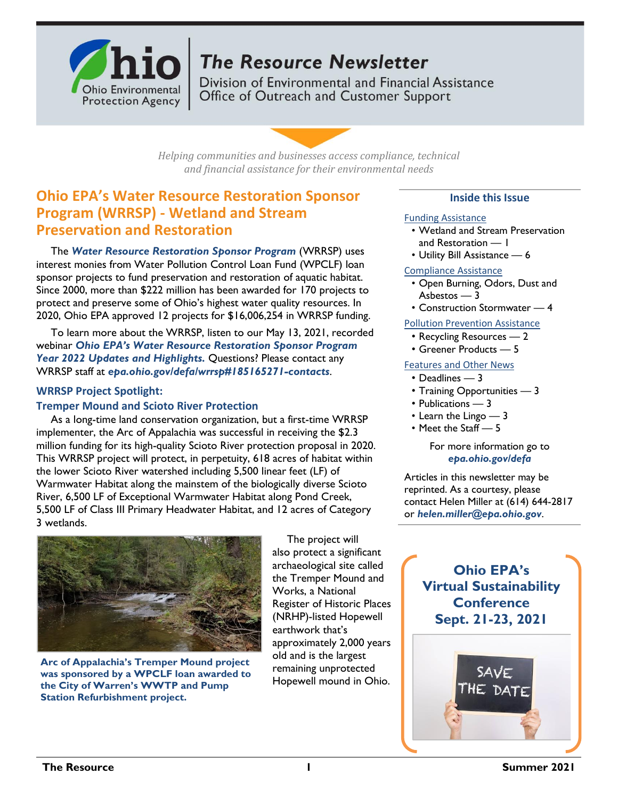

# **The Resource Newsletter**

Division of Environmental and Financial Assistance Office of Outreach and Customer Support

*Helping communities and businesses access compliance, technical and financial assistance for their environmental needs*

# **Ohio EPA's Water Resource Restoration Sponsor Program (WRRSP) - Wetland and Stream Preservation and Restoration**

The *[Water Resource Restoration Sponsor Program](https://epa.ohio.gov/defa/wrrsp)* (WRRSP) uses interest monies from Water Pollution Control Loan Fund (WPCLF) loan sponsor projects to fund preservation and restoration of aquatic habitat. Since 2000, more than \$222 million has been awarded for 170 projects to protect and preserve some of Ohio's highest water quality resources. In 2020, Ohio EPA approved 12 projects for \$16,006,254 in WRRSP funding.

To learn more about the WRRSP, listen to our May 13, 2021, recorded webinar *[Ohio EPA's Water Resource Restoration Sponsor Program](https://www.youtube.com/watch?v=OFe2x1CRG_Q)  [Year 2022 Updates and Highlights.](https://www.youtube.com/watch?v=OFe2x1CRG_Q)* Questions? Please contact any WRRSP staff at *[epa.ohio.gov/defa/wrrsp#185165271-contacts](https://epa.ohio.gov/defa/wrrsp#185165271-contacts)*.

### **WRRSP Project Spotlight:**

### **Tremper Mound and Scioto River Protection**

As a long-time land conservation organization, but a first-time WRRSP implementer, the Arc of Appalachia was successful in receiving the \$2.3 million funding for its high-quality Scioto River protection proposal in 2020. This WRRSP project will protect, in perpetuity, 618 acres of habitat within the lower Scioto River watershed including 5,500 linear feet (LF) of Warmwater Habitat along the mainstem of the biologically diverse Scioto River, 6,500 LF of Exceptional Warmwater Habitat along Pond Creek, 5,500 LF of Class III Primary Headwater Habitat, and 12 acres of Category 3 wetlands.



**Arc of Appalachia's Tremper Mound project was sponsored by a WPCLF loan awarded to the City of Warren's WWTP and Pump Station Refurbishment project.**

The project will also protect a significant archaeological site called the Tremper Mound and Works, a National Register of Historic Places (NRHP)-listed Hopewell earthwork that's approximately 2,000 years old and is the largest remaining unprotected Hopewell mound in Ohio.

### **Inside this Issue**

#### Funding Assistance

- Wetland and Stream Preservation and Restoration — 1
- Utility Bill Assistance 6

### Compliance Assistance

- Open Burning, Odors, Dust and Asbestos — 3
- Construction Stormwater 4

### Pollution Prevention Assistance

- Recycling Resources 2
- Greener Products 5

### Features and Other News

### • Deadlines — 3

- Training Opportunities 3
- Publications 3
- Learn the Lingo 3
- Meet the Staff 5

#### For more information go to *[epa.ohio.gov/defa](http://epa.ohio.gov/defa/)*

Articles in this newsletter may be reprinted. As a courtesy, please contact Helen Miller at (614) 644-2817 or *[helen.miller@epa.ohio.gov](mailto:helen.miller@epa.ohio.gov)*.

# **Ohio EPA's Virtual Sustainability Conference Sept. 21-23, 2021**

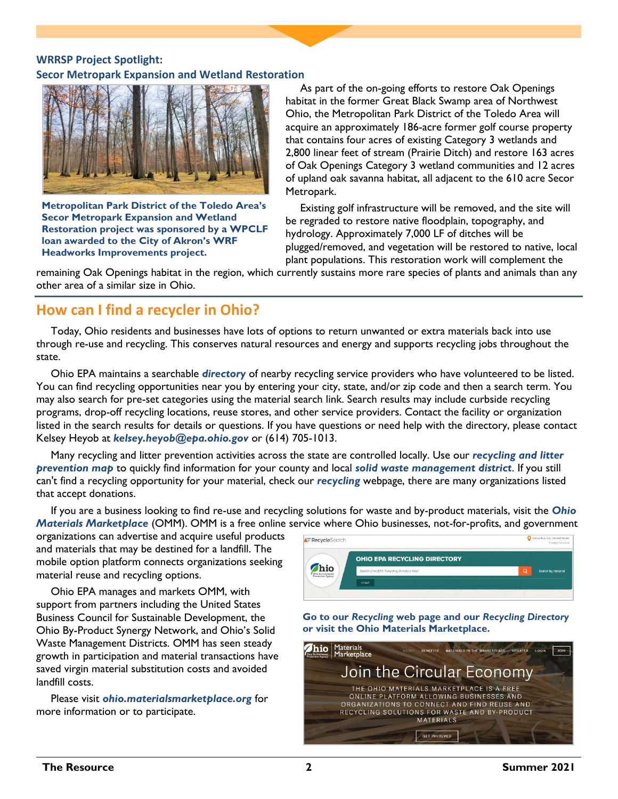## **WRRSP Project Spotlight: Secor Metropark Expansion and Wetland Restoration**



**Metropolitan Park District of the Toledo Area's Secor Metropark Expansion and Wetland Restoration project was sponsored by a WPCLF loan awarded to the City of Akron's WRF Headworks Improvements project.**

As part of the on-going efforts to restore Oak Openings habitat in the former Great Black Swamp area of Northwest Ohio, the Metropolitan Park District of the Toledo Area will acquire an approximately 186-acre former golf course property that contains four acres of existing Category 3 wetlands and 2,800 linear feet of stream (Prairie Ditch) and restore 163 acres of Oak Openings Category 3 wetland communities and 12 acres of upland oak savanna habitat, all adjacent to the 610 acre Secor Metropark.

Existing golf infrastructure will be removed, and the site will be regraded to restore native floodplain, topography, and hydrology. Approximately 7,000 LF of ditches will be plugged/removed, and vegetation will be restored to native, local plant populations. This restoration work will complement the

remaining Oak Openings habitat in the region, which currently sustains more rare species of plants and animals than any other area of a similar size in Ohio.

# **How can I find a recycler in Ohio?**

Today, Ohio residents and businesses have lots of options to return unwanted or extra materials back into use through re-use and recycling. This conserves natural resources and energy and supports recycling jobs throughout the state.

Ohio EPA maintains a searchable *[directory](https://recyclesearch.com/profile/ohioepa-recycling-directory)* of nearby recycling service providers who have volunteered to be listed. You can find recycling opportunities near you by entering your city, state, and/or zip code and then a search term. You may also search for pre-set categories using the material search link. Search results may include curbside recycling programs, drop-off recycling locations, reuse stores, and other service providers. Contact the facility or organization listed in the search results for details or questions. If you have questions or need help with the directory, please contact Kelsey Heyob at *[kelsey.heyob@epa.ohio.gov](mailto:kelsey.heyob@epa.ohio.gov)* or (614) 705-1013.

Many recycling and litter prevention activities across the state are controlled locally. Use our *[recycling and litter](http://wwwapp.epa.state.oh.us/gis/mapportal/ocapp.html)  [prevention map](http://wwwapp.epa.state.oh.us/gis/mapportal/ocapp.html)* to quickly find information for your county and local *[solid waste management district](https://epa.ohio.gov/portals/34/document/general/swmd_contacts.pdf)*. If you still can't find a recycling opportunity for your material, check our *[recycling](https://epa.ohio.gov/ocapp/recycling)* webpage, there are many organizations listed that accept donations.

If you are a business looking to find re-use and recycling solutions for waste and by-product materials, visit the *[Ohio](https://ohio.materialsmarketplace.org/)  [Materials Marketplace](https://ohio.materialsmarketplace.org/)* (OMM). OMM is a free online service where Ohio businesses, not-for-profits, and government

organizations can advertise and acquire useful products and materials that may be destined for a landfill. The mobile option platform connects organizations seeking material reuse and recycling options.

Ohio EPA manages and markets OMM, with support from partners including the United States Business Council for Sustainable Development, the Ohio By-Product Synergy Network, and Ohio's Solid Waste Management Districts. OMM has seen steady growth in participation and material transactions have saved virgin material substitution costs and avoided landfill costs.

Please visit *[ohio.materialsmarketplace.org](https://ohio.materialsmarketplace.org/)* for more information or to participate.

| <b>A</b> RecycleSearch                         |                                          | Columbus OH, United States<br>о<br>Change location |
|------------------------------------------------|------------------------------------------|----------------------------------------------------|
|                                                | <b>OHIO EPA RECYCLING DIRECTORY</b>      |                                                    |
| hio<br>Ohio Environmental<br>Protection Agency | Search Ohio EPA Recycling Directory Now! | $\circ$<br>Search by material                      |
|                                                | <b>HOME</b>                              |                                                    |

**Go to our** *[Recycling](https://epa.ohio.gov/ocapp/recycling)* **web page and our** *[Recycling Directory](https://recyclesearch.com/profile/ohioepa-recycling-directory)* **or visit the Ohio Materials Marketplace.**

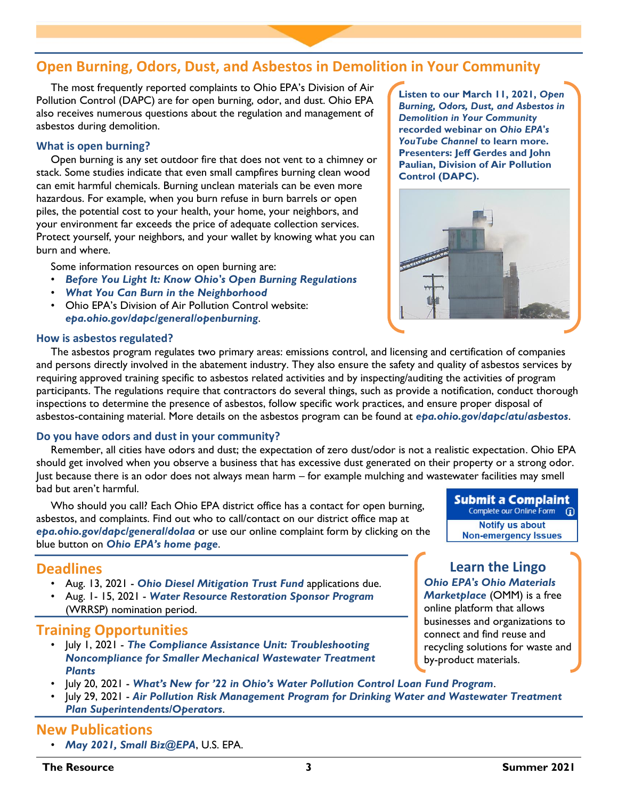## **Open Burning, Odors, Dust, and Asbestos in Demolition in Your Community**

The most frequently reported complaints to Ohio EPA's Division of Air Pollution Control (DAPC) are for open burning, odor, and dust. Ohio EPA also receives numerous questions about the regulation and management of asbestos during demolition.

### **What is open burning?**

Open burning is any set outdoor fire that does not vent to a chimney or stack. Some studies indicate that even small campfires burning clean wood can emit harmful chemicals. Burning unclean materials can be even more hazardous. For example, when you burn refuse in burn barrels or open piles, the potential cost to your health, your home, your neighbors, and your environment far exceeds the price of adequate collection services. Protect yourself, your neighbors, and your wallet by knowing what you can burn and where.

Some information resources on open burning are:

- *[Before You Light It: Know Ohio's Open Burning Regulations](https://epa.ohio.gov/portals/47/facts/openburn.pdf)*
- *[What You Can Burn in the Neighborhood](https://epa.ohio.gov/portals/47/facts/WhatYouCanBurnintheNeighborhood.pdf)*
- Ohio EPA's Division of Air Pollution Control website: *[epa.ohio.gov/dapc/general/openburning](https://epa.ohio.gov/dapc/general/openburning)*.

### **How is asbestos regulated?**

The asbestos program regulates two primary areas: emissions control, and licensing and certification of companies and persons directly involved in the abatement industry. They also ensure the safety and quality of asbestos services by requiring approved training specific to asbestos related activities and by inspecting/auditing the activities of program participants. The regulations require that contractors do several things, such as provide a notification, conduct thorough inspections to determine the presence of asbestos, follow specific work practices, and ensure proper disposal of asbestos-containing material. More details on the asbestos program can be found at *[epa.ohio.gov/dapc/atu/asbestos](https://epa.ohio.gov/dapc/atu/asbestos)*.

### **Do you have odors and dust in your community?**

Remember, all cities have odors and dust; the expectation of zero dust/odor is not a realistic expectation. Ohio EPA should get involved when you observe a business that has excessive dust generated on their property or a strong odor. Just because there is an odor does not always mean harm – for example mulching and wastewater facilities may smell bad but aren't harmful.

Who should you call? Each Ohio EPA district office has a contact for open burning, asbestos, and complaints. Find out who to call/contact on our district office map at *[epa.ohio.gov/dapc/general/dolaa](https://epa.ohio.gov/dapc/general/dolaa)* or use our online complaint form by clicking on the blue button on *[Ohio EPA's home page](https://epa.ohio.gov/)*.

## **Deadlines**

- Aug. 13, 2021 *[Ohio Diesel Mitigation Trust Fund](https://www.epa.ohio.gov/oee/#1844010799-dmtf-2021-request-for-applications-to-replace-diesel-off-road-equipment)* applications due.
- Aug. 1- 15, 2021 *[Water Resource Restoration Sponsor Program](https://epa.ohio.gov/defa/wrrsp)* (WRRSP) nomination period.

## **Training Opportunities**

- July 1, 2021 *[The Compliance Assistance Unit: Troubleshooting](https://register.gotowebinar.com/register/8222907031217905680) [Noncompliance for Smaller Mechanical Wastewater Treatment](https://register.gotowebinar.com/register/8222907031217905680) [Plants](https://register.gotowebinar.com/register/8222907031217905680)*
- July 20, 2021 *Wha[t's New for '22 in Ohio's Water Pollution Control Loan Fund Program](https://register.gotowebinar.com/register/5044575155516934158)*.
- July 29, 2021 *[Air Pollution Risk Management Program for Drinking Water and Wastewater Treatment](https://register.gotowebinar.com/register/4898761222015508748) [Plan Superintendents/Operators](https://register.gotowebinar.com/register/4898761222015508748)*.

## **New Publications**

• *[May 2021, Small Biz@EPA](https://www.epa.gov/sites/production/files/2021-05/documents/smallbizepa_may_2021.pdf)*, U.S. EPA.

**Listen to our March 11, 2021,** *[Open](https://www.youtube.com/watch?app=desktop&v=3dbNCgCK32Y)  [Burning, Odors, Dust, and Asbestos in](https://www.youtube.com/watch?app=desktop&v=3dbNCgCK32Y)  [Demolition in Your Community](https://www.youtube.com/watch?app=desktop&v=3dbNCgCK32Y)* **recorded webinar on** *[Ohio EPA's](http://www.youtube.com/user/PIC1049)  [YouTube Channel](http://www.youtube.com/user/PIC1049)* **to learn more. Presenters: Jeff Gerdes and John Paulian, Division of Air Pollution Control (DAPC).**



**Submit a Complaint** Complete our Online Form (D) **Notify us about Non-emergency Issues** 

# **Learn the Lingo**

*[Ohio EPA's Ohio Materials](https://ohio.materialsmarketplace.org/)  [Marketplace](https://ohio.materialsmarketplace.org/)* (OMM) is a free online platform that allows businesses and organizations to connect and find reuse and recycling solutions for waste and by-product materials.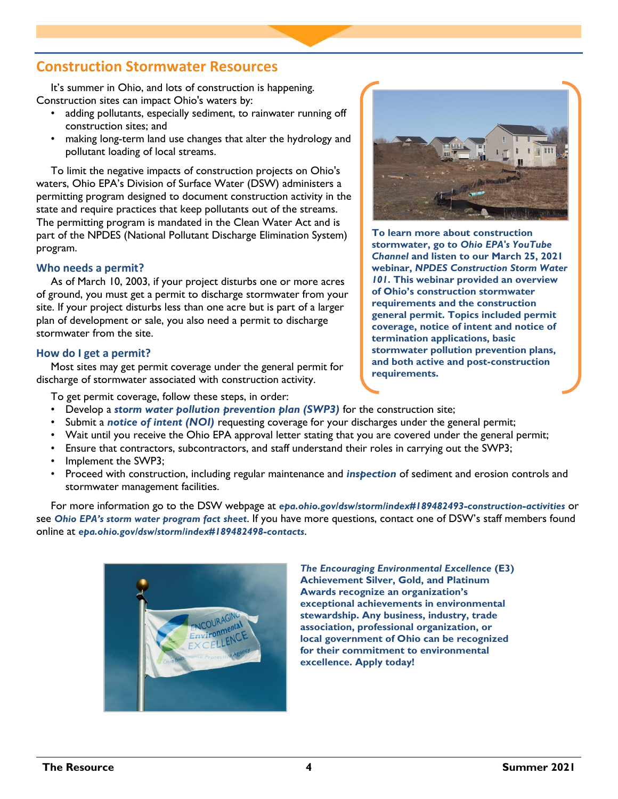## **Construction Stormwater Resources**

It's summer in Ohio, and lots of construction is happening. Construction sites can impact Ohio's waters by:

- adding pollutants, especially sediment, to rainwater running off construction sites; and
- making long-term land use changes that alter the hydrology and pollutant loading of local streams.

To limit the negative impacts of construction projects on Ohio's waters, Ohio EPA's Division of Surface Water (DSW) administers a permitting program designed to document construction activity in the state and require practices that keep pollutants out of the streams. The permitting program is mandated in the Clean Water Act and is part of the NPDES (National Pollutant Discharge Elimination System) program.

### **Who needs a permit?**

As of March 10, 2003, if your project disturbs one or more acres of ground, you must get a permit to discharge stormwater from your site. If your project disturbs less than one acre but is part of a larger plan of development or sale, you also need a permit to discharge stormwater from the site.

### **How do I get a permit?**

Most sites may get permit coverage under the general permit for discharge of stormwater associated with construction activity.

To get permit coverage, follow these steps, in order:



**To learn more about construction stormwater, go to** *[Ohio EPA's YouTube](http://www.youtube.com/user/PIC1049)  [Channel](http://www.youtube.com/user/PIC1049)* **and listen to our March 25, 2021 webinar,** *[NPDES Construction Storm Water](https://www.youtube.com/watch?v=6b24wv6Hbxw)  [101](https://www.youtube.com/watch?v=6b24wv6Hbxw)***. This webinar provided an overview of Ohio's construction stormwater requirements and the construction general permit. Topics included permit coverage, notice of intent and notice of termination applications, basic stormwater pollution prevention plans, and both active and post-construction requirements.**

- Develop a *[storm water pollution prevention plan \(SWP3\)](https://epa.ohio.gov/dsw/storm/const_SWP3_check.aspx)* for the construction site;
- Submit a *[notice of intent \(NOI\)](https://epa.ohio.gov/dsw/storm/index/tabid/3905/LiveTabId/108450/Default.aspx)* requesting coverage for your discharges under the general permit;
- Wait until you receive the Ohio EPA approval letter stating that you are covered under the general permit;
- Ensure that contractors, subcontractors, and staff understand their roles in carrying out the SWP3;
- Implement the SWP3:
- Proceed with construction, including regular maintenance and *[inspection](https://epa.ohio.gov/portals/35/storm/CGP_Ins1.pdf)* of sediment and erosion controls and stormwater management facilities.

For more information go to the DSW webpage at *[epa.ohio.gov/dsw/storm/index#189482493-construction-activities](https://epa.ohio.gov/dsw/storm/index#189482493-construction-activities)* or see *[Ohio EPA's storm water program fact](https://epa.ohio.gov/Portals/35/storm/phase2factsheet.pdf) sheet*. If you have more questions, contact one of DSW's staff members found online at *[epa.ohio.gov/dsw/storm/index#189482498-contacts](https://epa.ohio.gov/dsw/storm/index#189482498-contacts)*.



*[The Encouraging Environmental Excellence](https://epa.ohio.gov/ocapp/ohioe3)* **(E3) Achievement Silver, Gold, and Platinum Awards recognize an organization's exceptional achievements in environmental stewardship. Any business, industry, trade association, professional organization, or local government of Ohio can be recognized for their commitment to environmental excellence. Apply today!**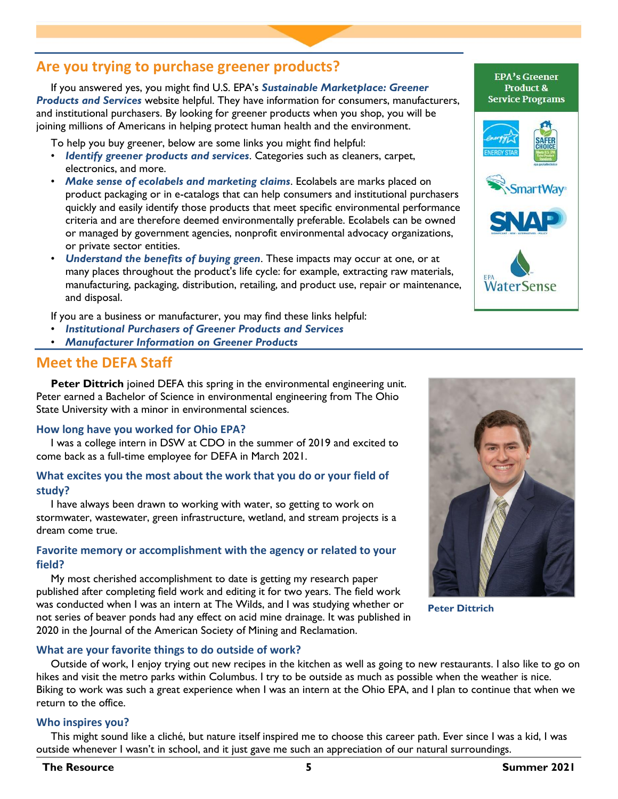# **Are you trying to purchase greener products?**

If you answered yes, you might find U.S. EPA's *[Sustainable Marketplace: Greener](https://www.epa.gov/greenerproducts)  [Products and Services](https://www.epa.gov/greenerproducts)* website helpful. They have information for consumers, manufacturers, and institutional purchasers. By looking for greener products when you shop, you will be joining millions of Americans in helping protect human health and the environment.

To help you buy greener, below are some links you might find helpful:

- *[Identify greener products and services](https://www.epa.gov/greenerproducts/identify-greener-products-and-services)*. Categories such as cleaners, carpet, electronics, and more.
- *[Make sense of ecolabels and marketing claims](https://www.epa.gov/greenerproducts/introduction-ecolabels-and-standards-greener-products)*. Ecolabels are marks placed on product packaging or in e-catalogs that can help consumers and institutional purchasers quickly and easily identify those products that meet specific environmental performance criteria and are therefore deemed environmentally preferable. Ecolabels can be owned or managed by government agencies, nonprofit environmental advocacy organizations, or private sector entities.
- *[Understand the benefits of buying green](https://www.epa.gov/greenerproducts/why-buy-greener-products)*. These impacts may occur at one, or at many places throughout the product's life cycle: for example, extracting raw materials, manufacturing, packaging, distribution, retailing, and product use, repair or maintenance, and disposal.

If you are a business or manufacturer, you may find these links helpful:

- *[Institutional Purchasers of Greener Products and Services](https://www.epa.gov/greenerproducts/institutional-purchasers-greener-products-and-services)*
- *[Manufacturer Information on Greener Products](https://www.epa.gov/greenerproducts/manufacturer-information-greener-products)*

## **Meet the DEFA Staff**

**Peter Dittrich** joined DEFA this spring in the environmental engineering unit. Peter earned a Bachelor of Science in environmental engineering from The Ohio State University with a minor in environmental sciences.

### **How long have you worked for Ohio EPA?**

I was a college intern in DSW at CDO in the summer of 2019 and excited to come back as a full-time employee for DEFA in March 2021.

### **What excites you the most about the work that you do or your field of study?**

I have always been drawn to working with water, so getting to work on stormwater, wastewater, green infrastructure, wetland, and stream projects is a dream come true.

### **Favorite memory or accomplishment with the agency or related to your field?**

My most cherished accomplishment to date is getting my research paper published after completing field work and editing it for two years. The field work was conducted when I was an intern at The Wilds, and I was studying whether or not series of beaver ponds had any effect on acid mine drainage. It was published in 2020 in the Journal of the American Society of Mining and Reclamation.

### **What are your favorite things to do outside of work?**

Outside of work, I enjoy trying out new recipes in the kitchen as well as going to new restaurants. I also like to go on hikes and visit the metro parks within Columbus. I try to be outside as much as possible when the weather is nice. Biking to work was such a great experience when I was an intern at the Ohio EPA, and I plan to continue that when we return to the office.

### **Who inspires you?**

This might sound like a cliché, but nature itself inspired me to choose this career path. Ever since I was a kid, I was outside whenever I wasn't in school, and it just gave me such an appreciation of our natural surroundings.